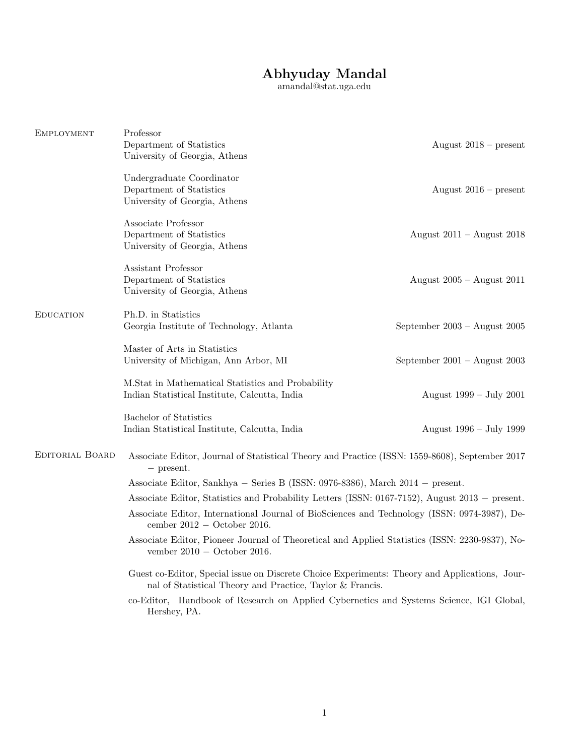# Abhyuday Mandal

amandal@stat.uga.edu

| EMPLOYMENT             | Professor<br>Department of Statistics<br>University of Georgia, Athens                                                                                     | August $2018$ – present          |  |
|------------------------|------------------------------------------------------------------------------------------------------------------------------------------------------------|----------------------------------|--|
|                        | Undergraduate Coordinator<br>Department of Statistics<br>University of Georgia, Athens                                                                     | August $2016$ – present          |  |
|                        | Associate Professor<br>Department of Statistics<br>University of Georgia, Athens                                                                           | August $2011 -$ August $2018$    |  |
|                        | Assistant Professor<br>Department of Statistics<br>University of Georgia, Athens                                                                           | August $2005 -$ August $2011$    |  |
| <b>EDUCATION</b>       | Ph.D. in Statistics<br>Georgia Institute of Technology, Atlanta                                                                                            | September $2003 -$ August $2005$ |  |
|                        | Master of Arts in Statistics<br>University of Michigan, Ann Arbor, MI                                                                                      | September $2001 -$ August $2003$ |  |
|                        | M.Stat in Mathematical Statistics and Probability<br>Indian Statistical Institute, Calcutta, India                                                         | August 1999 – July 2001          |  |
|                        | Bachelor of Statistics<br>Indian Statistical Institute, Calcutta, India                                                                                    | August 1996 – July 1999          |  |
| <b>EDITORIAL BOARD</b> | Associate Editor, Journal of Statistical Theory and Practice (ISSN: 1559-8608), September 2017<br>$-$ present.                                             |                                  |  |
|                        | Associate Editor, Sankhya – Series B (ISSN: 0976-8386), March 2014 – present.                                                                              |                                  |  |
|                        | Associate Editor, Statistics and Probability Letters (ISSN: 0167-7152), August 2013 – present.                                                             |                                  |  |
|                        | Associate Editor, International Journal of BioSciences and Technology (ISSN: 0974-3987), De-<br>cember $2012 -$ October 2016.                              |                                  |  |
|                        | Associate Editor, Pioneer Journal of Theoretical and Applied Statistics (ISSN: 2230-9837), No-<br>vember $2010 -$ October 2016.                            |                                  |  |
|                        | Guest co-Editor, Special issue on Discrete Choice Experiments: Theory and Applications, Jour-<br>nal of Statistical Theory and Practice, Taylor & Francis. |                                  |  |
|                        | co-Editor, Handbook of Research on Applied Cybernetics and Systems Science, IGI Global,<br>Hershey, PA.                                                    |                                  |  |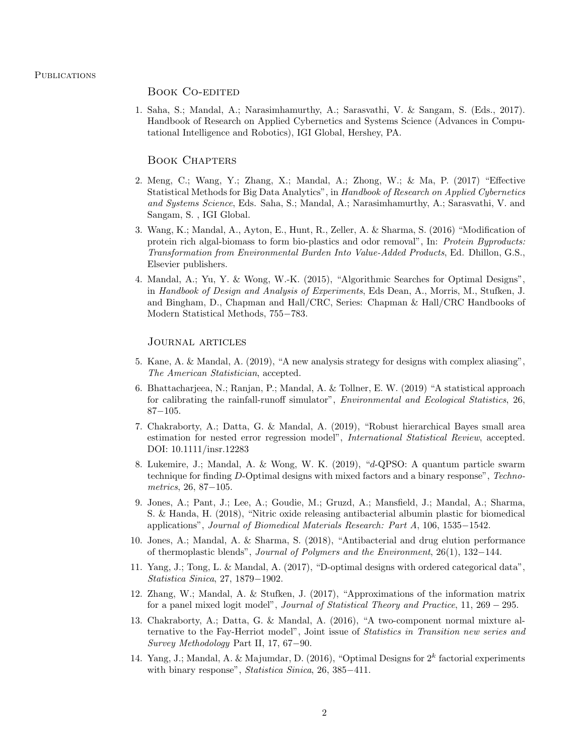# Book Co-edited

1. Saha, S.; Mandal, A.; Narasimhamurthy, A.; Sarasvathi, V. & Sangam, S. (Eds., 2017). Handbook of Research on Applied Cybernetics and Systems Science (Advances in Computational Intelligence and Robotics), IGI Global, Hershey, PA.

## Book Chapters

- 2. Meng, C.; Wang, Y.; Zhang, X.; Mandal, A.; Zhong, W.; & Ma, P. (2017) "Effective Statistical Methods for Big Data Analytics", in Handbook of Research on Applied Cybernetics and Systems Science, Eds. Saha, S.; Mandal, A.; Narasimhamurthy, A.; Sarasvathi, V. and Sangam, S. , IGI Global.
- 3. Wang, K.; Mandal, A., Ayton, E., Hunt, R., Zeller, A. & Sharma, S. (2016) "Modification of protein rich algal-biomass to form bio-plastics and odor removal", In: Protein Byproducts: Transformation from Environmental Burden Into Value-Added Products, Ed. Dhillon, G.S., Elsevier publishers.
- 4. Mandal, A.; Yu, Y. & Wong, W.-K. (2015), "Algorithmic Searches for Optimal Designs", in Handbook of Design and Analysis of Experiments, Eds Dean, A., Morris, M., Stufken, J. and Bingham, D., Chapman and Hall/CRC, Series: Chapman & Hall/CRC Handbooks of Modern Statistical Methods, 755−783.

# Journal articles

- 5. Kane, A. & Mandal, A. (2019), "A new analysis strategy for designs with complex aliasing", The American Statistician, accepted.
- 6. Bhattacharjeea, N.; Ranjan, P.; Mandal, A. & Tollner, E. W. (2019) "A statistical approach for calibrating the rainfall-runoff simulator", Environmental and Ecological Statistics, 26, 87−105.
- 7. Chakraborty, A.; Datta, G. & Mandal, A. (2019), "Robust hierarchical Bayes small area estimation for nested error regression model", International Statistical Review, accepted. DOI: 10.1111/insr.12283
- 8. Lukemire, J.; Mandal, A. & Wong, W. K. (2019), "d-QPSO: A quantum particle swarm technique for finding D-Optimal designs with mixed factors and a binary response", Technometrics, 26, 87−105.
- 9. Jones, A.; Pant, J.; Lee, A.; Goudie, M.; Gruzd, A.; Mansfield, J.; Mandal, A.; Sharma, S. & Handa, H. (2018), "Nitric oxide releasing antibacterial albumin plastic for biomedical applications", Journal of Biomedical Materials Research: Part A, 106, 1535−1542.
- 10. Jones, A.; Mandal, A. & Sharma, S. (2018), "Antibacterial and drug elution performance of thermoplastic blends", Journal of Polymers and the Environment, 26(1), 132−144.
- 11. Yang, J.; Tong, L. & Mandal, A. (2017), "D-optimal designs with ordered categorical data", Statistica Sinica, 27, 1879−1902.
- 12. Zhang, W.; Mandal, A. & Stufken, J. (2017), "Approximations of the information matrix for a panel mixed logit model", Journal of Statistical Theory and Practice, 11, 269 − 295.
- 13. Chakraborty, A.; Datta, G. & Mandal, A. (2016), "A two-component normal mixture alternative to the Fay-Herriot model", Joint issue of Statistics in Transition new series and Survey Methodology Part II, 17, 67−90.
- 14. Yang, J.; Mandal, A. & Majumdar, D. (2016), "Optimal Designs for  $2^k$  factorial experiments with binary response", Statistica Sinica, 26, 385-411.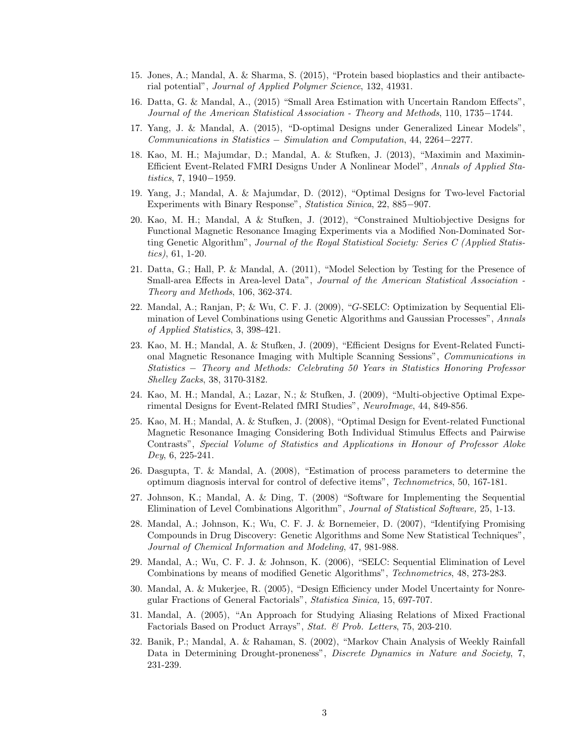- 15. Jones, A.; Mandal, A. & Sharma, S. (2015), "Protein based bioplastics and their antibacterial potential", Journal of Applied Polymer Science, 132, 41931.
- 16. Datta, G. & Mandal, A., (2015) "Small Area Estimation with Uncertain Random Effects", Journal of the American Statistical Association - Theory and Methods, 110, 1735−1744.
- 17. Yang, J. & Mandal, A. (2015), "D-optimal Designs under Generalized Linear Models", Communications in Statistics − Simulation and Computation, 44, 2264−2277.
- 18. Kao, M. H.; Majumdar, D.; Mandal, A. & Stufken, J. (2013), "Maximin and Maximin-Efficient Event-Related FMRI Designs Under A Nonlinear Model", Annals of Applied Statistics, 7, 1940−1959.
- 19. Yang, J.; Mandal, A. & Majumdar, D. (2012), "Optimal Designs for Two-level Factorial Experiments with Binary Response", Statistica Sinica, 22, 885−907.
- 20. Kao, M. H.; Mandal, A & Stufken, J. (2012), "Constrained Multiobjective Designs for Functional Magnetic Resonance Imaging Experiments via a Modified Non-Dominated Sorting Genetic Algorithm", Journal of the Royal Statistical Society: Series C (Applied Statistics), 61, 1-20.
- 21. Datta, G.; Hall, P. & Mandal, A. (2011), "Model Selection by Testing for the Presence of Small-area Effects in Area-level Data", Journal of the American Statistical Association - Theory and Methods, 106, 362-374.
- 22. Mandal, A.; Ranjan, P; & Wu, C. F. J. (2009), "G-SELC: Optimization by Sequential Elimination of Level Combinations using Genetic Algorithms and Gaussian Processes", Annals of Applied Statistics, 3, 398-421.
- 23. Kao, M. H.; Mandal, A. & Stufken, J. (2009), "Efficient Designs for Event-Related Functional Magnetic Resonance Imaging with Multiple Scanning Sessions", Communications in Statistics − Theory and Methods: Celebrating 50 Years in Statistics Honoring Professor Shelley Zacks, 38, 3170-3182.
- 24. Kao, M. H.; Mandal, A.; Lazar, N.; & Stufken, J. (2009), "Multi-objective Optimal Experimental Designs for Event-Related fMRI Studies", NeuroImage, 44, 849-856.
- 25. Kao, M. H.; Mandal, A. & Stufken, J. (2008), "Optimal Design for Event-related Functional Magnetic Resonance Imaging Considering Both Individual Stimulus Effects and Pairwise Contrasts", Special Volume of Statistics and Applications in Honour of Professor Aloke Dey, 6, 225-241.
- 26. Dasgupta, T. & Mandal, A. (2008), "Estimation of process parameters to determine the optimum diagnosis interval for control of defective items", Technometrics, 50, 167-181.
- 27. Johnson, K.; Mandal, A. & Ding, T. (2008) "Software for Implementing the Sequential Elimination of Level Combinations Algorithm", Journal of Statistical Software, 25, 1-13.
- 28. Mandal, A.; Johnson, K.; Wu, C. F. J. & Bornemeier, D. (2007), "Identifying Promising Compounds in Drug Discovery: Genetic Algorithms and Some New Statistical Techniques", Journal of Chemical Information and Modeling, 47, 981-988.
- 29. Mandal, A.; Wu, C. F. J. & Johnson, K. (2006), "SELC: Sequential Elimination of Level Combinations by means of modified Genetic Algorithms", Technometrics, 48, 273-283.
- 30. Mandal, A. & Mukerjee, R. (2005), "Design Efficiency under Model Uncertainty for Nonregular Fractions of General Factorials", Statistica Sinica, 15, 697-707.
- 31. Mandal, A. (2005), "An Approach for Studying Aliasing Relations of Mixed Fractional Factorials Based on Product Arrays", Stat. & Prob. Letters, 75, 203-210.
- 32. Banik, P.; Mandal, A. & Rahaman, S. (2002), "Markov Chain Analysis of Weekly Rainfall Data in Determining Drought-proneness", Discrete Dynamics in Nature and Society, 7, 231-239.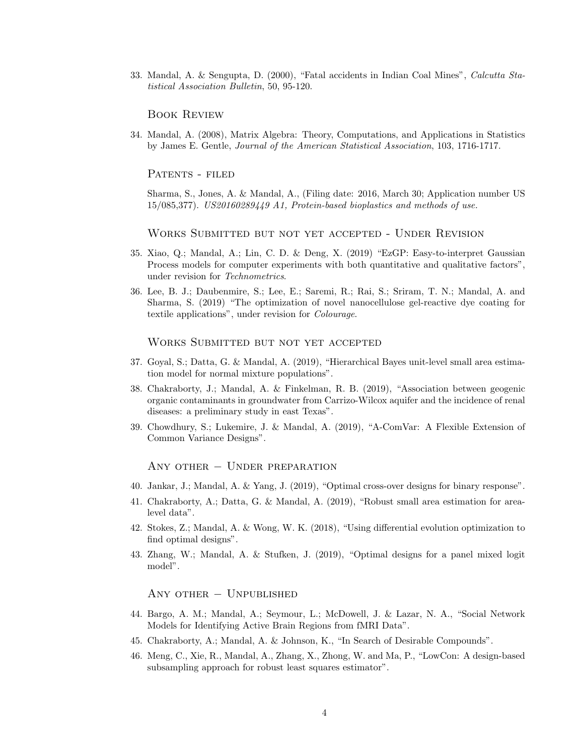33. Mandal, A. & Sengupta, D. (2000), "Fatal accidents in Indian Coal Mines", Calcutta Statistical Association Bulletin, 50, 95-120.

## Book Review

34. Mandal, A. (2008), Matrix Algebra: Theory, Computations, and Applications in Statistics by James E. Gentle, Journal of the American Statistical Association, 103, 1716-1717.

PATENTS - FILED

Sharma, S., Jones, A. & Mandal, A., (Filing date: 2016, March 30; Application number US 15/085,377). US20160289449 A1, Protein-based bioplastics and methods of use.

Works Submitted but not yet accepted - Under Revision

- 35. Xiao, Q.; Mandal, A.; Lin, C. D. & Deng, X. (2019) "EzGP: Easy-to-interpret Gaussian Process models for computer experiments with both quantitative and qualitative factors", under revision for Technometrics.
- 36. Lee, B. J.; Daubenmire, S.; Lee, E.; Saremi, R.; Rai, S.; Sriram, T. N.; Mandal, A. and Sharma, S. (2019) "The optimization of novel nanocellulose gel-reactive dye coating for textile applications", under revision for Colourage.

Works Submitted but not yet accepted

- 37. Goyal, S.; Datta, G. & Mandal, A. (2019), "Hierarchical Bayes unit-level small area estimation model for normal mixture populations".
- 38. Chakraborty, J.; Mandal, A. & Finkelman, R. B. (2019), "Association between geogenic organic contaminants in groundwater from Carrizo-Wilcox aquifer and the incidence of renal diseases: a preliminary study in east Texas".
- 39. Chowdhury, S.; Lukemire, J. & Mandal, A. (2019), "A-ComVar: A Flexible Extension of Common Variance Designs".

Any other − Under preparation

- 40. Jankar, J.; Mandal, A. & Yang, J. (2019), "Optimal cross-over designs for binary response".
- 41. Chakraborty, A.; Datta, G. & Mandal, A. (2019), "Robust small area estimation for arealevel data".
- 42. Stokes, Z.; Mandal, A. & Wong, W. K. (2018), "Using differential evolution optimization to find optimal designs".
- 43. Zhang, W.; Mandal, A. & Stufken, J. (2019), "Optimal designs for a panel mixed logit model".

Any other − Unpublished

- 44. Bargo, A. M.; Mandal, A.; Seymour, L.; McDowell, J. & Lazar, N. A., "Social Network Models for Identifying Active Brain Regions from fMRI Data".
- 45. Chakraborty, A.; Mandal, A. & Johnson, K., "In Search of Desirable Compounds".
- 46. Meng, C., Xie, R., Mandal, A., Zhang, X., Zhong, W. and Ma, P., "LowCon: A design-based subsampling approach for robust least squares estimator".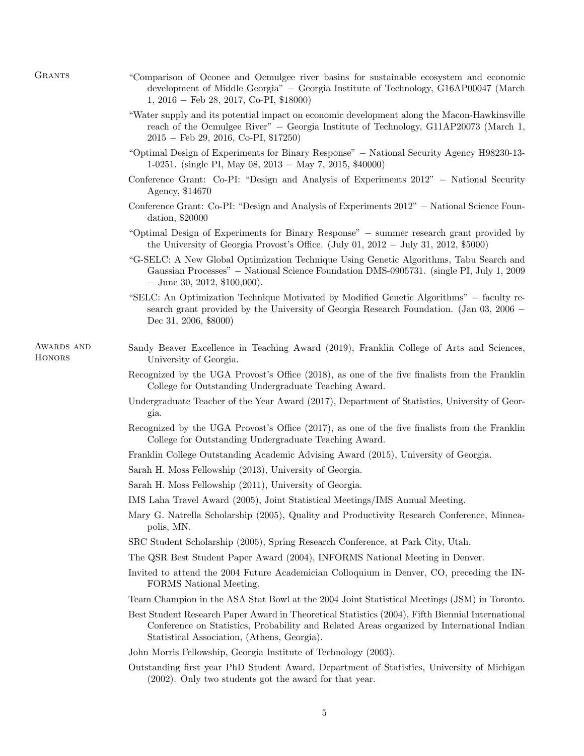- "Comparison of Oconee and Ocmulgee river basins for sustainable ecosystem and economic development of Middle Georgia" − Georgia Institute of Technology, G16AP00047 (March 1, 2016 − Feb 28, 2017, Co-PI, \$18000)
- "Water supply and its potential impact on economic development along the Macon-Hawkinsville reach of the Ocmulgee River" − Georgia Institute of Technology, G11AP20073 (March 1, 2015 − Feb 29, 2016, Co-PI, \$17250)
- "Optimal Design of Experiments for Binary Response" − National Security Agency H98230-13- 1-0251. (single PI, May 08, 2013 − May 7, 2015, \$40000)
- Conference Grant: Co-PI: "Design and Analysis of Experiments 2012" − National Security Agency, \$14670
- Conference Grant: Co-PI: "Design and Analysis of Experiments 2012" − National Science Foundation, \$20000
- "Optimal Design of Experiments for Binary Response" − summer research grant provided by the University of Georgia Provost's Office. (July 01, 2012 − July 31, 2012, \$5000)
- "G-SELC: A New Global Optimization Technique Using Genetic Algorithms, Tabu Search and Gaussian Processes" − National Science Foundation DMS-0905731. (single PI, July 1, 2009 − June 30, 2012, \$100,000).
- "SELC: An Optimization Technique Motivated by Modified Genetic Algorithms" − faculty research grant provided by the University of Georgia Research Foundation. (Jan 03, 2006 − Dec 31, 2006, \$8000)
- AWARDS AND **HONORS**
- Sandy Beaver Excellence in Teaching Award (2019), Franklin College of Arts and Sciences, University of Georgia.
	- Recognized by the UGA Provost's Office (2018), as one of the five finalists from the Franklin College for Outstanding Undergraduate Teaching Award.
	- Undergraduate Teacher of the Year Award (2017), Department of Statistics, University of Georgia.
	- Recognized by the UGA Provost's Office (2017), as one of the five finalists from the Franklin College for Outstanding Undergraduate Teaching Award.
	- Franklin College Outstanding Academic Advising Award (2015), University of Georgia.
	- Sarah H. Moss Fellowship (2013), University of Georgia.
	- Sarah H. Moss Fellowship (2011), University of Georgia.
	- IMS Laha Travel Award (2005), Joint Statistical Meetings/IMS Annual Meeting.
	- Mary G. Natrella Scholarship (2005), Quality and Productivity Research Conference, Minneapolis, MN.
	- SRC Student Scholarship (2005), Spring Research Conference, at Park City, Utah.
	- The QSR Best Student Paper Award (2004), INFORMS National Meeting in Denver.
	- Invited to attend the 2004 Future Academician Colloquium in Denver, CO, preceding the IN-FORMS National Meeting.
	- Team Champion in the ASA Stat Bowl at the 2004 Joint Statistical Meetings (JSM) in Toronto.
	- Best Student Research Paper Award in Theoretical Statistics (2004), Fifth Biennial International Conference on Statistics, Probability and Related Areas organized by International Indian Statistical Association, (Athens, Georgia).
	- John Morris Fellowship, Georgia Institute of Technology (2003).
	- Outstanding first year PhD Student Award, Department of Statistics, University of Michigan (2002). Only two students got the award for that year.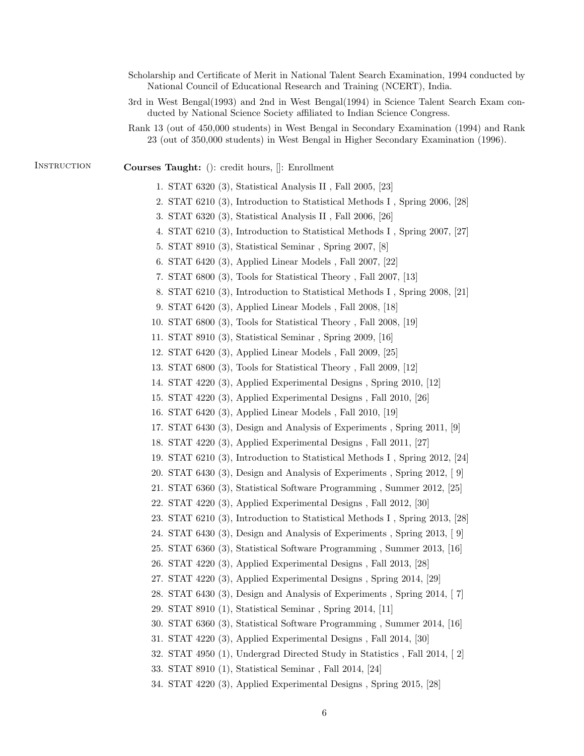Scholarship and Certificate of Merit in National Talent Search Examination, 1994 conducted by National Council of Educational Research and Training (NCERT), India. 3rd in West Bengal(1993) and 2nd in West Bengal(1994) in Science Talent Search Exam conducted by National Science Society affiliated to Indian Science Congress. Rank 13 (out of 450,000 students) in West Bengal in Secondary Examination (1994) and Rank 23 (out of 350,000 students) in West Bengal in Higher Secondary Examination (1996). INSTRUCTION Courses Taught: (): credit hours,  $\left\| \right\|$ : Enrollment 1. STAT 6320 (3), Statistical Analysis II , Fall 2005, [23] 2. STAT 6210 (3), Introduction to Statistical Methods I , Spring 2006, [28] 3. STAT 6320 (3), Statistical Analysis II , Fall 2006, [26] 4. STAT 6210 (3), Introduction to Statistical Methods I , Spring 2007, [27] 5. STAT 8910 (3), Statistical Seminar , Spring 2007, [8] 6. STAT 6420 (3), Applied Linear Models , Fall 2007, [22] 7. STAT 6800 (3), Tools for Statistical Theory , Fall 2007, [13] 8. STAT 6210 (3), Introduction to Statistical Methods I , Spring 2008, [21] 9. STAT 6420 (3), Applied Linear Models , Fall 2008, [18] 10. STAT 6800 (3), Tools for Statistical Theory , Fall 2008, [19] 11. STAT 8910 (3), Statistical Seminar , Spring 2009, [16] 12. STAT 6420 (3), Applied Linear Models , Fall 2009, [25] 13. STAT 6800 (3), Tools for Statistical Theory , Fall 2009, [12] 14. STAT 4220 (3), Applied Experimental Designs , Spring 2010, [12] 15. STAT 4220 (3), Applied Experimental Designs , Fall 2010, [26] 16. STAT 6420 (3), Applied Linear Models , Fall 2010, [19] 17. STAT 6430 (3), Design and Analysis of Experiments , Spring 2011, [9] 18. STAT 4220 (3), Applied Experimental Designs , Fall 2011, [27] 19. STAT 6210 (3), Introduction to Statistical Methods I , Spring 2012, [24] 20. STAT 6430 (3), Design and Analysis of Experiments , Spring 2012, [ 9] 21. STAT 6360 (3), Statistical Software Programming , Summer 2012, [25] 22. STAT 4220 (3), Applied Experimental Designs , Fall 2012, [30] 23. STAT 6210 (3), Introduction to Statistical Methods I , Spring 2013, [28] 24. STAT 6430 (3), Design and Analysis of Experiments , Spring 2013, [ 9] 25. STAT 6360 (3), Statistical Software Programming , Summer 2013, [16] 26. STAT 4220 (3), Applied Experimental Designs , Fall 2013, [28] 27. STAT 4220 (3), Applied Experimental Designs , Spring 2014, [29] 28. STAT 6430 (3), Design and Analysis of Experiments , Spring 2014, [ 7] 29. STAT 8910 (1), Statistical Seminar , Spring 2014, [11] 30. STAT 6360 (3), Statistical Software Programming , Summer 2014, [16] 31. STAT 4220 (3), Applied Experimental Designs , Fall 2014, [30] 32. STAT 4950 (1), Undergrad Directed Study in Statistics , Fall 2014, [ 2] 33. STAT 8910 (1), Statistical Seminar , Fall 2014, [24] 34. STAT 4220 (3), Applied Experimental Designs , Spring 2015, [28]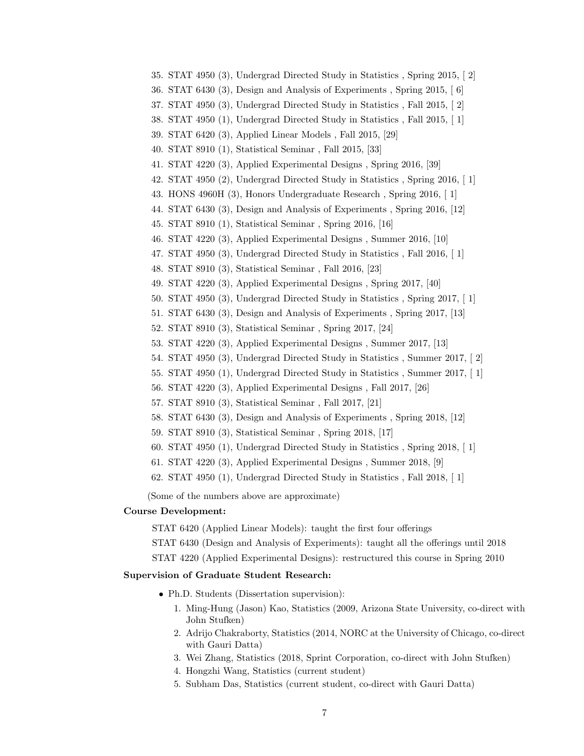36. STAT 6430 (3), Design and Analysis of Experiments , Spring 2015, [ 6] 37. STAT 4950 (3), Undergrad Directed Study in Statistics , Fall 2015, [ 2] 38. STAT 4950 (1), Undergrad Directed Study in Statistics , Fall 2015, [ 1] 39. STAT 6420 (3), Applied Linear Models , Fall 2015, [29] 40. STAT 8910 (1), Statistical Seminar , Fall 2015, [33] 41. STAT 4220 (3), Applied Experimental Designs , Spring 2016, [39] 42. STAT 4950 (2), Undergrad Directed Study in Statistics , Spring 2016, [ 1] 43. HONS 4960H (3), Honors Undergraduate Research , Spring 2016, [ 1] 44. STAT 6430 (3), Design and Analysis of Experiments , Spring 2016, [12] 45. STAT 8910 (1), Statistical Seminar , Spring 2016, [16] 46. STAT 4220 (3), Applied Experimental Designs , Summer 2016, [10] 47. STAT 4950 (3), Undergrad Directed Study in Statistics , Fall 2016, [ 1] 48. STAT 8910 (3), Statistical Seminar , Fall 2016, [23] 49. STAT 4220 (3), Applied Experimental Designs , Spring 2017, [40] 50. STAT 4950 (3), Undergrad Directed Study in Statistics , Spring 2017, [ 1] 51. STAT 6430 (3), Design and Analysis of Experiments , Spring 2017, [13] 52. STAT 8910 (3), Statistical Seminar , Spring 2017, [24] 53. STAT 4220 (3), Applied Experimental Designs , Summer 2017, [13] 54. STAT 4950 (3), Undergrad Directed Study in Statistics , Summer 2017, [ 2] 55. STAT 4950 (1), Undergrad Directed Study in Statistics , Summer 2017, [ 1] 56. STAT 4220 (3), Applied Experimental Designs , Fall 2017, [26] 57. STAT 8910 (3), Statistical Seminar , Fall 2017, [21] 58. STAT 6430 (3), Design and Analysis of Experiments , Spring 2018, [12] 59. STAT 8910 (3), Statistical Seminar , Spring 2018, [17] 60. STAT 4950 (1), Undergrad Directed Study in Statistics , Spring 2018, [ 1] 61. STAT 4220 (3), Applied Experimental Designs , Summer 2018, [9] 62. STAT 4950 (1), Undergrad Directed Study in Statistics , Fall 2018, [ 1]

35. STAT 4950 (3), Undergrad Directed Study in Statistics , Spring 2015, [ 2]

(Some of the numbers above are approximate)

## Course Development:

STAT 6420 (Applied Linear Models): taught the first four offerings

STAT 6430 (Design and Analysis of Experiments): taught all the offerings until 2018

STAT 4220 (Applied Experimental Designs): restructured this course in Spring 2010

## Supervision of Graduate Student Research:

- Ph.D. Students (Dissertation supervision):
	- 1. Ming-Hung (Jason) Kao, Statistics (2009, Arizona State University, co-direct with John Stufken)
	- 2. Adrijo Chakraborty, Statistics (2014, NORC at the University of Chicago, co-direct with Gauri Datta)
	- 3. Wei Zhang, Statistics (2018, Sprint Corporation, co-direct with John Stufken)
	- 4. Hongzhi Wang, Statistics (current student)
	- 5. Subham Das, Statistics (current student, co-direct with Gauri Datta)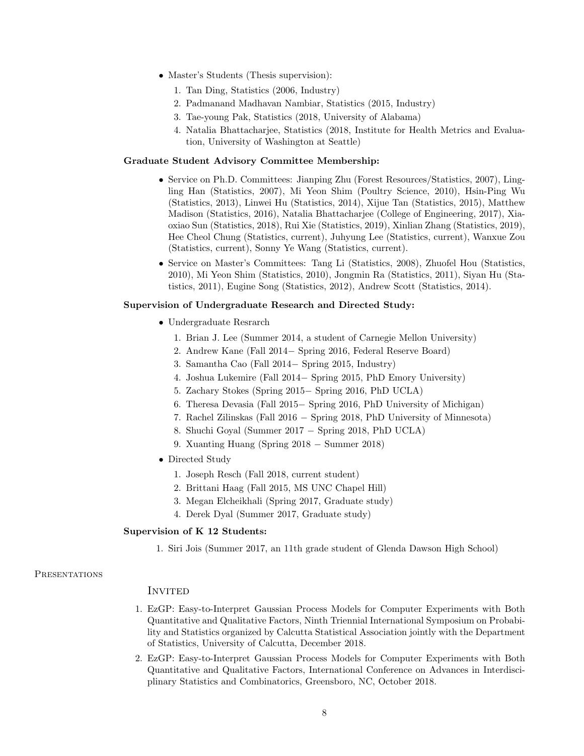- Master's Students (Thesis supervision):
	- 1. Tan Ding, Statistics (2006, Industry)
	- 2. Padmanand Madhavan Nambiar, Statistics (2015, Industry)
	- 3. Tae-young Pak, Statistics (2018, University of Alabama)
	- 4. Natalia Bhattacharjee, Statistics (2018, Institute for Health Metrics and Evaluation, University of Washington at Seattle)

#### Graduate Student Advisory Committee Membership:

- Service on Ph.D. Committees: Jianping Zhu (Forest Resources/Statistics, 2007), Lingling Han (Statistics, 2007), Mi Yeon Shim (Poultry Science, 2010), Hsin-Ping Wu (Statistics, 2013), Linwei Hu (Statistics, 2014), Xijue Tan (Statistics, 2015), Matthew Madison (Statistics, 2016), Natalia Bhattacharjee (College of Engineering, 2017), Xiaoxiao Sun (Statistics, 2018), Rui Xie (Statistics, 2019), Xinlian Zhang (Statistics, 2019), Hee Cheol Chung (Statistics, current), Juhyung Lee (Statistics, current), Wanxue Zou (Statistics, current), Sonny Ye Wang (Statistics, current).
- Service on Master's Committees: Tang Li (Statistics, 2008), Zhuofel Hou (Statistics, 2010), Mi Yeon Shim (Statistics, 2010), Jongmin Ra (Statistics, 2011), Siyan Hu (Statistics, 2011), Eugine Song (Statistics, 2012), Andrew Scott (Statistics, 2014).

## Supervision of Undergraduate Research and Directed Study:

- Undergraduate Resrarch
	- 1. Brian J. Lee (Summer 2014, a student of Carnegie Mellon University)
	- 2. Andrew Kane (Fall 2014− Spring 2016, Federal Reserve Board)
	- 3. Samantha Cao (Fall 2014− Spring 2015, Industry)
	- 4. Joshua Lukemire (Fall 2014− Spring 2015, PhD Emory University)
	- 5. Zachary Stokes (Spring 2015− Spring 2016, PhD UCLA)
	- 6. Theresa Devasia (Fall 2015− Spring 2016, PhD University of Michigan)
	- 7. Rachel Zilinskas (Fall 2016 − Spring 2018, PhD University of Minnesota)
	- 8. Shuchi Goyal (Summer 2017 − Spring 2018, PhD UCLA)
	- 9. Xuanting Huang (Spring 2018 − Summer 2018)
- Directed Study
	- 1. Joseph Resch (Fall 2018, current student)
	- 2. Brittani Haag (Fall 2015, MS UNC Chapel Hill)
	- 3. Megan Elcheikhali (Spring 2017, Graduate study)
	- 4. Derek Dyal (Summer 2017, Graduate study)

# Supervision of K 12 Students:

1. Siri Jois (Summer 2017, an 11th grade student of Glenda Dawson High School)

#### **PRESENTATIONS**

## **INVITED**

- 1. EzGP: Easy-to-Interpret Gaussian Process Models for Computer Experiments with Both Quantitative and Qualitative Factors, Ninth Triennial International Symposium on Probability and Statistics organized by Calcutta Statistical Association jointly with the Department of Statistics, University of Calcutta, December 2018.
- 2. EzGP: Easy-to-Interpret Gaussian Process Models for Computer Experiments with Both Quantitative and Qualitative Factors, International Conference on Advances in Interdisciplinary Statistics and Combinatorics, Greensboro, NC, October 2018.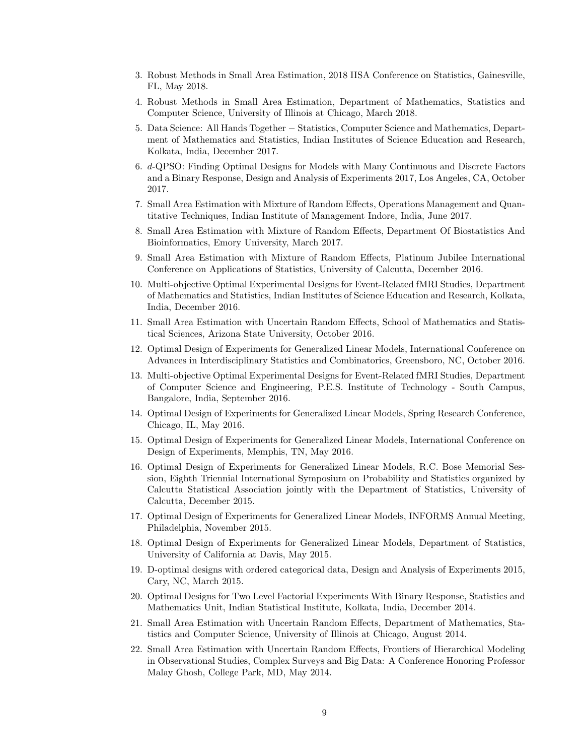- 3. Robust Methods in Small Area Estimation, 2018 IISA Conference on Statistics, Gainesville, FL, May 2018.
- 4. Robust Methods in Small Area Estimation, Department of Mathematics, Statistics and Computer Science, University of Illinois at Chicago, March 2018.
- 5. Data Science: All Hands Together − Statistics, Computer Science and Mathematics, Department of Mathematics and Statistics, Indian Institutes of Science Education and Research, Kolkata, India, December 2017.
- 6. d-QPSO: Finding Optimal Designs for Models with Many Continuous and Discrete Factors and a Binary Response, Design and Analysis of Experiments 2017, Los Angeles, CA, October 2017.
- 7. Small Area Estimation with Mixture of Random Effects, Operations Management and Quantitative Techniques, Indian Institute of Management Indore, India, June 2017.
- 8. Small Area Estimation with Mixture of Random Effects, Department Of Biostatistics And Bioinformatics, Emory University, March 2017.
- 9. Small Area Estimation with Mixture of Random Effects, Platinum Jubilee International Conference on Applications of Statistics, University of Calcutta, December 2016.
- 10. Multi-objective Optimal Experimental Designs for Event-Related fMRI Studies, Department of Mathematics and Statistics, Indian Institutes of Science Education and Research, Kolkata, India, December 2016.
- 11. Small Area Estimation with Uncertain Random Effects, School of Mathematics and Statistical Sciences, Arizona State University, October 2016.
- 12. Optimal Design of Experiments for Generalized Linear Models, International Conference on Advances in Interdisciplinary Statistics and Combinatorics, Greensboro, NC, October 2016.
- 13. Multi-objective Optimal Experimental Designs for Event-Related fMRI Studies, Department of Computer Science and Engineering, P.E.S. Institute of Technology - South Campus, Bangalore, India, September 2016.
- 14. Optimal Design of Experiments for Generalized Linear Models, Spring Research Conference, Chicago, IL, May 2016.
- 15. Optimal Design of Experiments for Generalized Linear Models, International Conference on Design of Experiments, Memphis, TN, May 2016.
- 16. Optimal Design of Experiments for Generalized Linear Models, R.C. Bose Memorial Session, Eighth Triennial International Symposium on Probability and Statistics organized by Calcutta Statistical Association jointly with the Department of Statistics, University of Calcutta, December 2015.
- 17. Optimal Design of Experiments for Generalized Linear Models, INFORMS Annual Meeting, Philadelphia, November 2015.
- 18. Optimal Design of Experiments for Generalized Linear Models, Department of Statistics, University of California at Davis, May 2015.
- 19. D-optimal designs with ordered categorical data, Design and Analysis of Experiments 2015, Cary, NC, March 2015.
- 20. Optimal Designs for Two Level Factorial Experiments With Binary Response, Statistics and Mathematics Unit, Indian Statistical Institute, Kolkata, India, December 2014.
- 21. Small Area Estimation with Uncertain Random Effects, Department of Mathematics, Statistics and Computer Science, University of Illinois at Chicago, August 2014.
- 22. Small Area Estimation with Uncertain Random Effects, Frontiers of Hierarchical Modeling in Observational Studies, Complex Surveys and Big Data: A Conference Honoring Professor Malay Ghosh, College Park, MD, May 2014.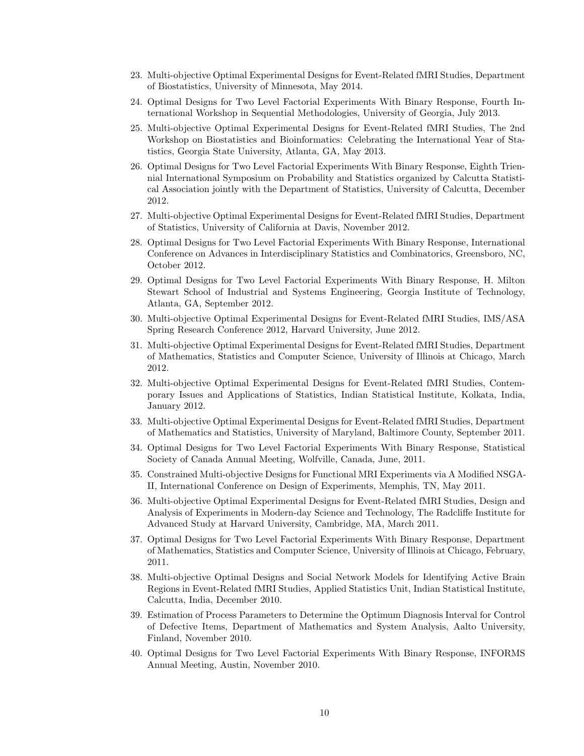- 23. Multi-objective Optimal Experimental Designs for Event-Related fMRI Studies, Department of Biostatistics, University of Minnesota, May 2014.
- 24. Optimal Designs for Two Level Factorial Experiments With Binary Response, Fourth International Workshop in Sequential Methodologies, University of Georgia, July 2013.
- 25. Multi-objective Optimal Experimental Designs for Event-Related fMRI Studies, The 2nd Workshop on Biostatistics and Bioinformatics: Celebrating the International Year of Statistics, Georgia State University, Atlanta, GA, May 2013.
- 26. Optimal Designs for Two Level Factorial Experiments With Binary Response, Eighth Triennial International Symposium on Probability and Statistics organized by Calcutta Statistical Association jointly with the Department of Statistics, University of Calcutta, December 2012.
- 27. Multi-objective Optimal Experimental Designs for Event-Related fMRI Studies, Department of Statistics, University of California at Davis, November 2012.
- 28. Optimal Designs for Two Level Factorial Experiments With Binary Response, International Conference on Advances in Interdisciplinary Statistics and Combinatorics, Greensboro, NC, October 2012.
- 29. Optimal Designs for Two Level Factorial Experiments With Binary Response, H. Milton Stewart School of Industrial and Systems Engineering, Georgia Institute of Technology, Atlanta, GA, September 2012.
- 30. Multi-objective Optimal Experimental Designs for Event-Related fMRI Studies, IMS/ASA Spring Research Conference 2012, Harvard University, June 2012.
- 31. Multi-objective Optimal Experimental Designs for Event-Related fMRI Studies, Department of Mathematics, Statistics and Computer Science, University of Illinois at Chicago, March 2012.
- 32. Multi-objective Optimal Experimental Designs for Event-Related fMRI Studies, Contemporary Issues and Applications of Statistics, Indian Statistical Institute, Kolkata, India, January 2012.
- 33. Multi-objective Optimal Experimental Designs for Event-Related fMRI Studies, Department of Mathematics and Statistics, University of Maryland, Baltimore County, September 2011.
- 34. Optimal Designs for Two Level Factorial Experiments With Binary Response, Statistical Society of Canada Annual Meeting, Wolfville, Canada, June, 2011.
- 35. Constrained Multi-objective Designs for Functional MRI Experiments via A Modified NSGA-II, International Conference on Design of Experiments, Memphis, TN, May 2011.
- 36. Multi-objective Optimal Experimental Designs for Event-Related fMRI Studies, Design and Analysis of Experiments in Modern-day Science and Technology, The Radcliffe Institute for Advanced Study at Harvard University, Cambridge, MA, March 2011.
- 37. Optimal Designs for Two Level Factorial Experiments With Binary Response, Department of Mathematics, Statistics and Computer Science, University of Illinois at Chicago, February, 2011.
- 38. Multi-objective Optimal Designs and Social Network Models for Identifying Active Brain Regions in Event-Related fMRI Studies, Applied Statistics Unit, Indian Statistical Institute, Calcutta, India, December 2010.
- 39. Estimation of Process Parameters to Determine the Optimum Diagnosis Interval for Control of Defective Items, Department of Mathematics and System Analysis, Aalto University, Finland, November 2010.
- 40. Optimal Designs for Two Level Factorial Experiments With Binary Response, INFORMS Annual Meeting, Austin, November 2010.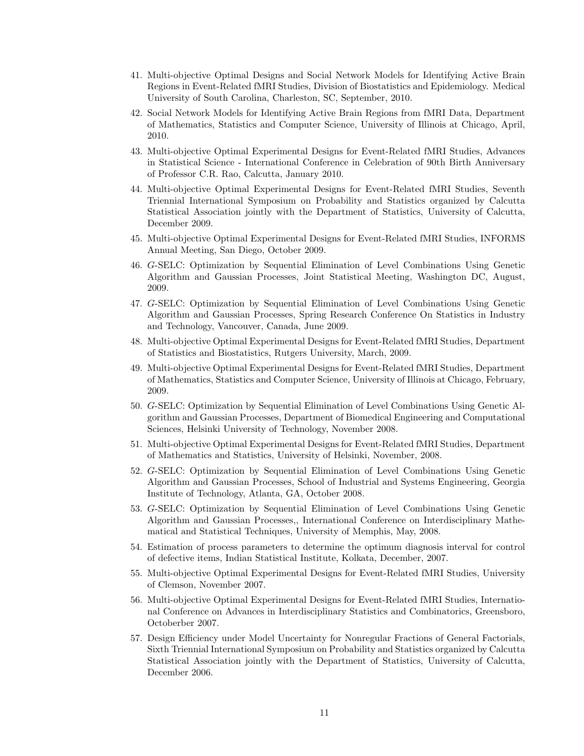- 41. Multi-objective Optimal Designs and Social Network Models for Identifying Active Brain Regions in Event-Related fMRI Studies, Division of Biostatistics and Epidemiology. Medical University of South Carolina, Charleston, SC, September, 2010.
- 42. Social Network Models for Identifying Active Brain Regions from fMRI Data, Department of Mathematics, Statistics and Computer Science, University of Illinois at Chicago, April, 2010.
- 43. Multi-objective Optimal Experimental Designs for Event-Related fMRI Studies, Advances in Statistical Science - International Conference in Celebration of 90th Birth Anniversary of Professor C.R. Rao, Calcutta, January 2010.
- 44. Multi-objective Optimal Experimental Designs for Event-Related fMRI Studies, Seventh Triennial International Symposium on Probability and Statistics organized by Calcutta Statistical Association jointly with the Department of Statistics, University of Calcutta, December 2009.
- 45. Multi-objective Optimal Experimental Designs for Event-Related fMRI Studies, INFORMS Annual Meeting, San Diego, October 2009.
- 46. G-SELC: Optimization by Sequential Elimination of Level Combinations Using Genetic Algorithm and Gaussian Processes, Joint Statistical Meeting, Washington DC, August, 2009.
- 47. G-SELC: Optimization by Sequential Elimination of Level Combinations Using Genetic Algorithm and Gaussian Processes, Spring Research Conference On Statistics in Industry and Technology, Vancouver, Canada, June 2009.
- 48. Multi-objective Optimal Experimental Designs for Event-Related fMRI Studies, Department of Statistics and Biostatistics, Rutgers University, March, 2009.
- 49. Multi-objective Optimal Experimental Designs for Event-Related fMRI Studies, Department of Mathematics, Statistics and Computer Science, University of Illinois at Chicago, February, 2009.
- 50. G-SELC: Optimization by Sequential Elimination of Level Combinations Using Genetic Algorithm and Gaussian Processes, Department of Biomedical Engineering and Computational Sciences, Helsinki University of Technology, November 2008.
- 51. Multi-objective Optimal Experimental Designs for Event-Related fMRI Studies, Department of Mathematics and Statistics, University of Helsinki, November, 2008.
- 52. G-SELC: Optimization by Sequential Elimination of Level Combinations Using Genetic Algorithm and Gaussian Processes, School of Industrial and Systems Engineering, Georgia Institute of Technology, Atlanta, GA, October 2008.
- 53. G-SELC: Optimization by Sequential Elimination of Level Combinations Using Genetic Algorithm and Gaussian Processes,, International Conference on Interdisciplinary Mathematical and Statistical Techniques, University of Memphis, May, 2008.
- 54. Estimation of process parameters to determine the optimum diagnosis interval for control of defective items, Indian Statistical Institute, Kolkata, December, 2007.
- 55. Multi-objective Optimal Experimental Designs for Event-Related fMRI Studies, University of Clemson, November 2007.
- 56. Multi-objective Optimal Experimental Designs for Event-Related fMRI Studies, International Conference on Advances in Interdisciplinary Statistics and Combinatorics, Greensboro, Octoberber 2007.
- 57. Design Efficiency under Model Uncertainty for Nonregular Fractions of General Factorials, Sixth Triennial International Symposium on Probability and Statistics organized by Calcutta Statistical Association jointly with the Department of Statistics, University of Calcutta, December 2006.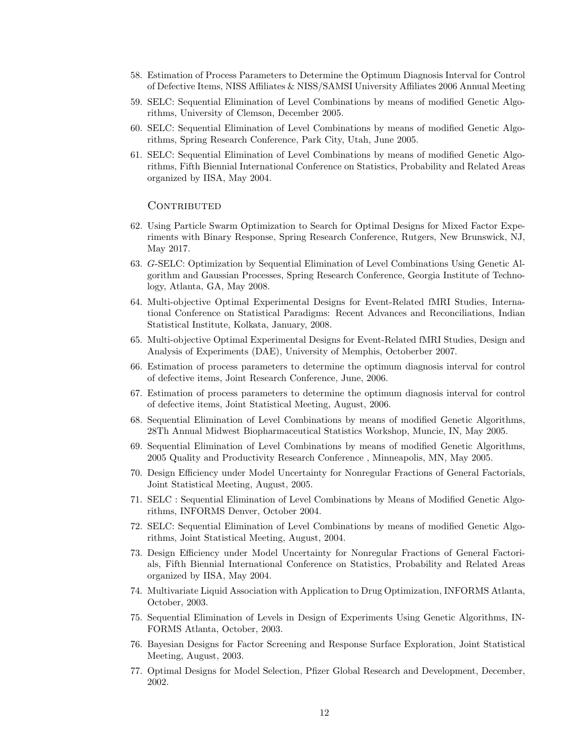- 58. Estimation of Process Parameters to Determine the Optimum Diagnosis Interval for Control of Defective Items, NISS Affiliates & NISS/SAMSI University Affiliates 2006 Annual Meeting
- 59. SELC: Sequential Elimination of Level Combinations by means of modified Genetic Algorithms, University of Clemson, December 2005.
- 60. SELC: Sequential Elimination of Level Combinations by means of modified Genetic Algorithms, Spring Research Conference, Park City, Utah, June 2005.
- 61. SELC: Sequential Elimination of Level Combinations by means of modified Genetic Algorithms, Fifth Biennial International Conference on Statistics, Probability and Related Areas organized by IISA, May 2004.

#### **CONTRIBUTED**

- 62. Using Particle Swarm Optimization to Search for Optimal Designs for Mixed Factor Experiments with Binary Response, Spring Research Conference, Rutgers, New Brunswick, NJ, May 2017.
- 63. G-SELC: Optimization by Sequential Elimination of Level Combinations Using Genetic Algorithm and Gaussian Processes, Spring Research Conference, Georgia Institute of Technology, Atlanta, GA, May 2008.
- 64. Multi-objective Optimal Experimental Designs for Event-Related fMRI Studies, International Conference on Statistical Paradigms: Recent Advances and Reconciliations, Indian Statistical Institute, Kolkata, January, 2008.
- 65. Multi-objective Optimal Experimental Designs for Event-Related fMRI Studies, Design and Analysis of Experiments (DAE), University of Memphis, Octoberber 2007.
- 66. Estimation of process parameters to determine the optimum diagnosis interval for control of defective items, Joint Research Conference, June, 2006.
- 67. Estimation of process parameters to determine the optimum diagnosis interval for control of defective items, Joint Statistical Meeting, August, 2006.
- 68. Sequential Elimination of Level Combinations by means of modified Genetic Algorithms, 28Th Annual Midwest Biopharmaceutical Statistics Workshop, Muncie, IN, May 2005.
- 69. Sequential Elimination of Level Combinations by means of modified Genetic Algorithms, 2005 Quality and Productivity Research Conference , Minneapolis, MN, May 2005.
- 70. Design Efficiency under Model Uncertainty for Nonregular Fractions of General Factorials, Joint Statistical Meeting, August, 2005.
- 71. SELC : Sequential Elimination of Level Combinations by Means of Modified Genetic Algorithms, INFORMS Denver, October 2004.
- 72. SELC: Sequential Elimination of Level Combinations by means of modified Genetic Algorithms, Joint Statistical Meeting, August, 2004.
- 73. Design Efficiency under Model Uncertainty for Nonregular Fractions of General Factorials, Fifth Biennial International Conference on Statistics, Probability and Related Areas organized by IISA, May 2004.
- 74. Multivariate Liquid Association with Application to Drug Optimization, INFORMS Atlanta, October, 2003.
- 75. Sequential Elimination of Levels in Design of Experiments Using Genetic Algorithms, IN-FORMS Atlanta, October, 2003.
- 76. Bayesian Designs for Factor Screening and Response Surface Exploration, Joint Statistical Meeting, August, 2003.
- 77. Optimal Designs for Model Selection, Pfizer Global Research and Development, December, 2002.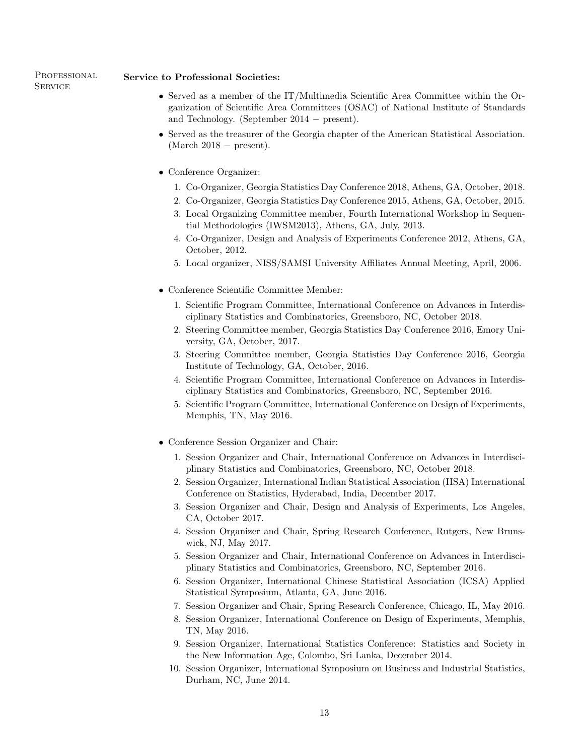# PROFESSIONAL **SERVICE**

# Service to Professional Societies:

- Served as a member of the IT/Multimedia Scientific Area Committee within the Organization of Scientific Area Committees (OSAC) of National Institute of Standards and Technology. (September 2014 − present).
- Served as the treasurer of the Georgia chapter of the American Statistical Association.  $(March 2018 - present).$
- Conference Organizer:
	- 1. Co-Organizer, Georgia Statistics Day Conference 2018, Athens, GA, October, 2018.
	- 2. Co-Organizer, Georgia Statistics Day Conference 2015, Athens, GA, October, 2015.
	- 3. Local Organizing Committee member, Fourth International Workshop in Sequential Methodologies (IWSM2013), Athens, GA, July, 2013.
	- 4. Co-Organizer, Design and Analysis of Experiments Conference 2012, Athens, GA, October, 2012.
	- 5. Local organizer, NISS/SAMSI University Affiliates Annual Meeting, April, 2006.
- Conference Scientific Committee Member:
	- 1. Scientific Program Committee, International Conference on Advances in Interdisciplinary Statistics and Combinatorics, Greensboro, NC, October 2018.
	- 2. Steering Committee member, Georgia Statistics Day Conference 2016, Emory University, GA, October, 2017.
	- 3. Steering Committee member, Georgia Statistics Day Conference 2016, Georgia Institute of Technology, GA, October, 2016.
	- 4. Scientific Program Committee, International Conference on Advances in Interdisciplinary Statistics and Combinatorics, Greensboro, NC, September 2016.
	- 5. Scientific Program Committee, International Conference on Design of Experiments, Memphis, TN, May 2016.
- Conference Session Organizer and Chair:
	- 1. Session Organizer and Chair, International Conference on Advances in Interdisciplinary Statistics and Combinatorics, Greensboro, NC, October 2018.
	- 2. Session Organizer, International Indian Statistical Association (IISA) International Conference on Statistics, Hyderabad, India, December 2017.
	- 3. Session Organizer and Chair, Design and Analysis of Experiments, Los Angeles, CA, October 2017.
	- 4. Session Organizer and Chair, Spring Research Conference, Rutgers, New Brunswick, NJ, May 2017.
	- 5. Session Organizer and Chair, International Conference on Advances in Interdisciplinary Statistics and Combinatorics, Greensboro, NC, September 2016.
	- 6. Session Organizer, International Chinese Statistical Association (ICSA) Applied Statistical Symposium, Atlanta, GA, June 2016.
	- 7. Session Organizer and Chair, Spring Research Conference, Chicago, IL, May 2016.
	- 8. Session Organizer, International Conference on Design of Experiments, Memphis, TN, May 2016.
	- 9. Session Organizer, International Statistics Conference: Statistics and Society in the New Information Age, Colombo, Sri Lanka, December 2014.
	- 10. Session Organizer, International Symposium on Business and Industrial Statistics, Durham, NC, June 2014.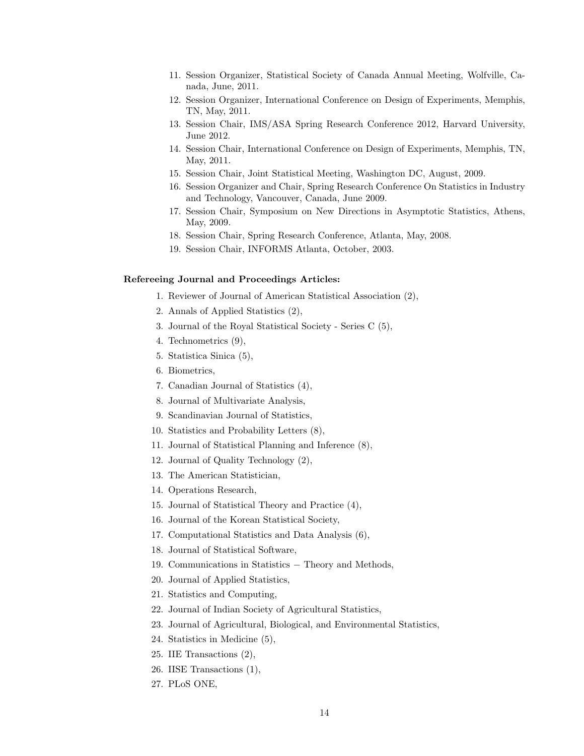- 11. Session Organizer, Statistical Society of Canada Annual Meeting, Wolfville, Canada, June, 2011.
- 12. Session Organizer, International Conference on Design of Experiments, Memphis, TN, May, 2011.
- 13. Session Chair, IMS/ASA Spring Research Conference 2012, Harvard University, June 2012.
- 14. Session Chair, International Conference on Design of Experiments, Memphis, TN, May, 2011.
- 15. Session Chair, Joint Statistical Meeting, Washington DC, August, 2009.
- 16. Session Organizer and Chair, Spring Research Conference On Statistics in Industry and Technology, Vancouver, Canada, June 2009.
- 17. Session Chair, Symposium on New Directions in Asymptotic Statistics, Athens, May, 2009.
- 18. Session Chair, Spring Research Conference, Atlanta, May, 2008.
- 19. Session Chair, INFORMS Atlanta, October, 2003.

## Refereeing Journal and Proceedings Articles:

- 1. Reviewer of Journal of American Statistical Association (2),
- 2. Annals of Applied Statistics (2),
- 3. Journal of the Royal Statistical Society Series C (5),
- 4. Technometrics (9),
- 5. Statistica Sinica (5),
- 6. Biometrics,
- 7. Canadian Journal of Statistics (4),
- 8. Journal of Multivariate Analysis,
- 9. Scandinavian Journal of Statistics,
- 10. Statistics and Probability Letters (8),
- 11. Journal of Statistical Planning and Inference (8),
- 12. Journal of Quality Technology (2),
- 13. The American Statistician,
- 14. Operations Research,
- 15. Journal of Statistical Theory and Practice (4),
- 16. Journal of the Korean Statistical Society,
- 17. Computational Statistics and Data Analysis (6),
- 18. Journal of Statistical Software,
- 19. Communications in Statistics − Theory and Methods,
- 20. Journal of Applied Statistics,
- 21. Statistics and Computing,
- 22. Journal of Indian Society of Agricultural Statistics,
- 23. Journal of Agricultural, Biological, and Environmental Statistics,
- 24. Statistics in Medicine (5),
- 25. IIE Transactions (2),
- 26. IISE Transactions (1),
- 27. PLoS ONE,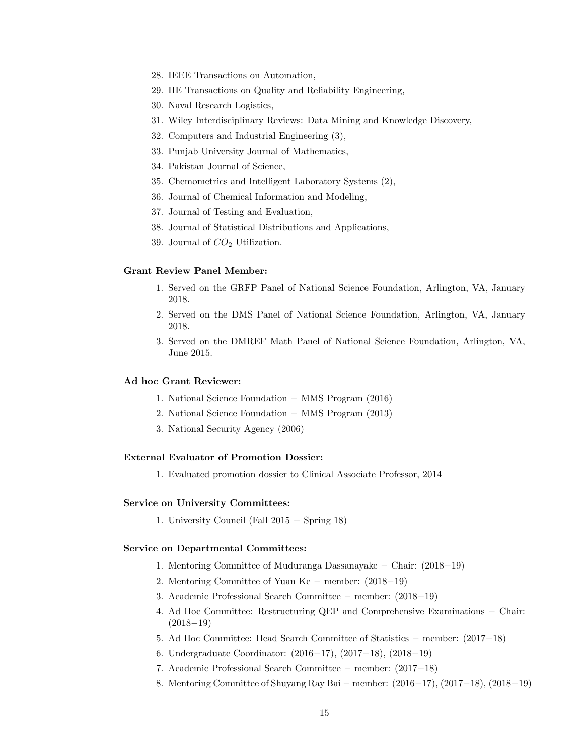- 28. IEEE Transactions on Automation,
- 29. IIE Transactions on Quality and Reliability Engineering,
- 30. Naval Research Logistics,
- 31. Wiley Interdisciplinary Reviews: Data Mining and Knowledge Discovery,
- 32. Computers and Industrial Engineering (3),
- 33. Punjab University Journal of Mathematics,
- 34. Pakistan Journal of Science,
- 35. Chemometrics and Intelligent Laboratory Systems (2),
- 36. Journal of Chemical Information and Modeling,
- 37. Journal of Testing and Evaluation,
- 38. Journal of Statistical Distributions and Applications,
- 39. Journal of  $CO<sub>2</sub>$  Utilization.

## Grant Review Panel Member:

- 1. Served on the GRFP Panel of National Science Foundation, Arlington, VA, January 2018.
- 2. Served on the DMS Panel of National Science Foundation, Arlington, VA, January 2018.
- 3. Served on the DMREF Math Panel of National Science Foundation, Arlington, VA, June 2015.

#### Ad hoc Grant Reviewer:

- 1. National Science Foundation − MMS Program (2016)
- 2. National Science Foundation − MMS Program (2013)
- 3. National Security Agency (2006)

## External Evaluator of Promotion Dossier:

1. Evaluated promotion dossier to Clinical Associate Professor, 2014

#### Service on University Committees:

1. University Council (Fall 2015 − Spring 18)

#### Service on Departmental Committees:

- 1. Mentoring Committee of Muduranga Dassanayake − Chair: (2018−19)
- 2. Mentoring Committee of Yuan Ke − member: (2018−19)
- 3. Academic Professional Search Committee − member: (2018−19)
- 4. Ad Hoc Committee: Restructuring QEP and Comprehensive Examinations − Chair:  $(2018-19)$
- 5. Ad Hoc Committee: Head Search Committee of Statistics − member: (2017−18)
- 6. Undergraduate Coordinator: (2016−17), (2017−18), (2018−19)
- 7. Academic Professional Search Committee − member: (2017−18)
- 8. Mentoring Committee of Shuyang Ray Bai − member: (2016−17), (2017−18), (2018−19)